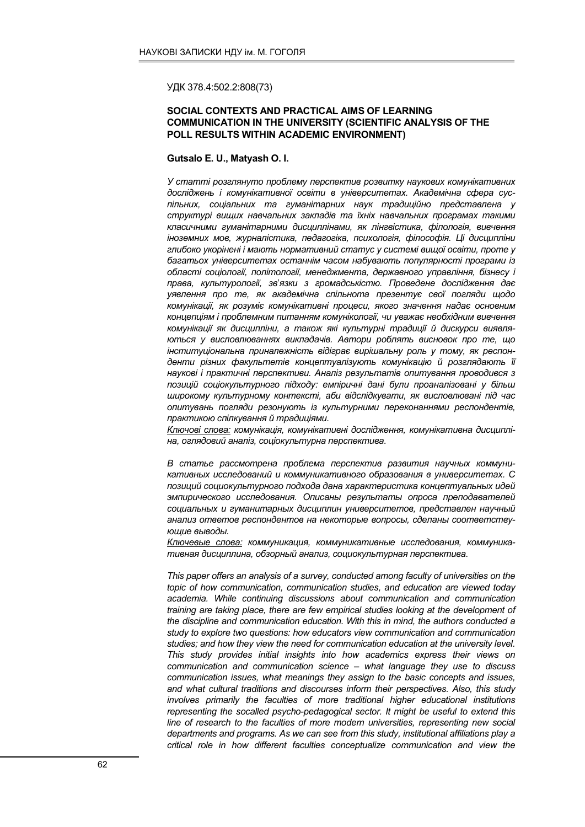УДК 378.4:502.2:808(73)

## SOCIAL CONTEXTS AND PRACTICAL AIMS OF LEARNING COMMUNICATION IN THE UNIVERSITY (SCIENTIFIC ANALYSIS OF THE POLL RESULTS WITHIN ACADEMIC ENVIRONMENT)

## Gutsalo E. U., Matyash O. I.

У статті розглянуто проблему перспектив розвитку наукових комунікативних досліджень і комунікативної освіти в університетах. Академічна сфера суспільних, соціальних та гуманітарних наук традиційно представлена у структурі вищих навчальних закладів та їхніх навчальних програмах такими класичними гуманітарними дисциплінами, як лінгвістика, філологія, вивчення іноземних мов, журналістика, педагогіка, психологія, філософія. Ці дисципліни глибоко укорінені і мають нормативний статус у системі вищої освіти, проте у багатьох університетах останнім часом набувають популярності програми із області соціології, політології, менеджмента, державного управління, бізнесу і права, культурології, зв'язки з громадськістю. Проведене дослідження дає уявлення про те, як академічна спільнота презентує свої погляди щодо комунікації, як розуміє комунікативні процеси, якого значення надає основним концепціям і проблемним питанням комунікології, чи уважає необхідним вивчення комунікації як дисципліни, а також які культурні традиції й дискурси виявляються у висловлюваннях викладачів. Автори роблять висновок про те, що інституціональна приналежність відіграє вирішальну роль у тому, як респонденти різних факультетів концептуалізують комунікацію й розглядають її наукові і практичні перспективи. Аналіз результатів опитування проводився з позицій соціокультурного підходу: емпіричні дані були проаналізовані у більш широкому культурному контексті, аби відслідкувати, як висловлювані під час опитувань погляди резонують із культурними переконаннями респондентів, практикою спілкування й традиціями.

Ключові слова: комунікація, комунікативні дослідження, комунікативна дисципліна, оглядовий аналіз, соціокультурна перспектива.

В статье рассмотрена проблема перспектив развития научных коммуникативных исследований и коммуникативного образования в университетах. С позиций социокультурного подхода дана характеристика концептуальных идей эмпирического исследования. Описаны результаты опроса преподавателей социальных и гуманитарных дисциплин университетов, представлен научный анализ ответов респондентов на некоторые вопросы, сделаны соответствующие выводы.

Ключевые слова: коммуникация, коммуникативные исследования, коммуникативная дисциплина, обзорный анализ, социокультурная перспектива.

This paper offers an analysis of a survey, conducted among faculty of universities on the topic of how communication, communication studies, and education are viewed today academia. While continuing discussions about communication and communication training are taking place, there are few empirical studies looking at the development of the discipline and communication education. With this in mind, the authors conducted a study to explore two questions: how educators view communication and communication studies; and how they view the need for communication education at the university level. This study provides initial insights into how academics express their views on communication and communication science – what language they use to discuss communication issues, what meanings they assign to the basic concepts and issues, and what cultural traditions and discourses inform their perspectives. Also, this study involves primarily the faculties of more traditional higher educational institutions representing the socalled psycho-pedagogical sector. It might be useful to extend this line of research to the faculties of more modern universities, representing new social departments and programs. As we can see from this study, institutional affiliations play a critical role in how different faculties conceptualize communication and view the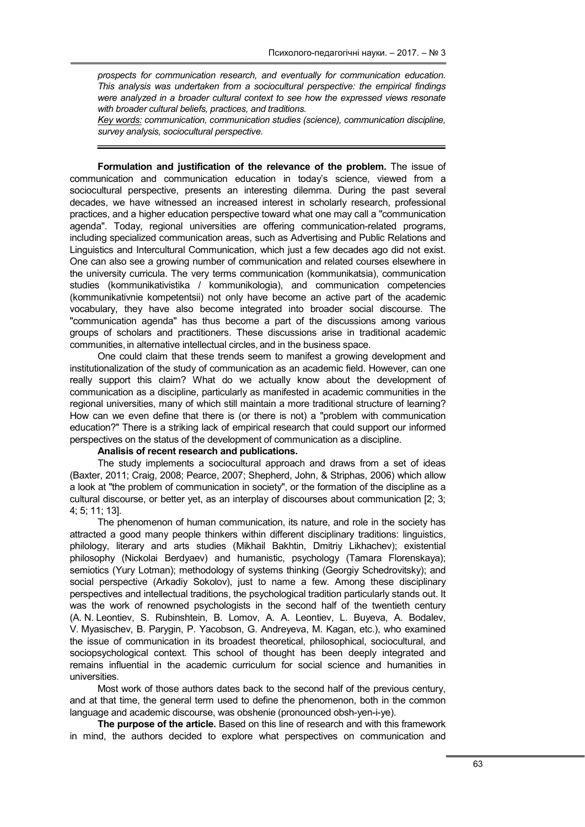prospects for communication research, and eventually for communication education. This analysis was undertaken from a sociocultural perspective: the empirical findings were analyzed in a broader cultural context to see how the expressed views resonate with broader cultural beliefs, practices, and traditions.

Key words: communication, communication studies (science), communication discipline, survey analysis, sociocultural perspective.

Formulation and justification of the relevance of the problem. The issue of communication and communication education in today's science, viewed from a sociocultural perspective, presents an interesting dilemma. During the past several decades, we have witnessed an increased interest in scholarly research, professional practices, and a higher education perspective toward what one may call a "communication agenda". Today, regional universities are offering communication-related programs, including specialized communication areas, such as Advertising and Public Relations and Linguistics and Intercultural Communication, which just a few decades ago did not exist. One can also see a growing number of communication and related courses elsewhere in the university curricula. The very terms communication (kommunikatsia), communication studies (kommunikativistika / kommunikologia), and communication competencies (kommunikativnie kompetentsii) not only have become an active part of the academic vocabulary, they have also become integrated into broader social discourse. The "communication agenda" has thus become a part of the discussions among various groups of scholars and practitioners. These discussions arise in traditional academic communities, in alternative intellectual circles, and in the business space.

One could claim that these trends seem to manifest a growing development and institutionalization of the study of communication as an academic field. However, can one really support this claim? What do we actually know about the development of communication as a discipline, particularly as manifested in academic communities in the regional universities, many of which still maintain a more traditional structure of learning? How can we even define that there is (or there is not) a "problem with communication education?" There is a striking lack of empirical research that could support our informed perspectives on the status of the development of communication as a discipline.

## Analisis of recent research and publications.

The study implements a sociocultural approach and draws from a set of ideas (Baxter, 2011; Craig, 2008; Pearce, 2007; Shepherd, John, & Striphas, 2006) which allow a look at "the problem of communication in society", or the formation of the discipline as a cultural discourse, or better yet, as an interplay of discourses about communication [2; 3; 4; 5; 11; 13].

The phenomenon of human communication, its nature, and role in the society has attracted a good many people thinkers within different disciplinary traditions: linguistics, philology, literary and arts studies (Mikhail Bakhtin, Dmitriy Likhachev); existential philosophy (Nickolai Berdyaev) and humanistic, psychology (Tamara Florenskaya); semiotics (Yury Lotman); methodology of systems thinking (Georgiy Schedrovitsky); and social perspective (Arkadiy Sokolov), just to name a few. Among these disciplinary perspectives and intellectual traditions, the psychological tradition particularly stands out. It was the work of renowned psychologists in the second half of the twentieth century (A. N. Leontiev, S. Rubinshtein, B. Lomov, A. A. Leontiev, L. Buyeva, A. Bodalev, V. Myasischev, B. Parygin, P. Yacobson, G. Andreyeva, M. Kagan, etc.), who examined the issue of communication in its broadest theoretical, philosophical, sociocultural, and sociopsychological context. This school of thought has been deeply integrated and remains influential in the academic curriculum for social science and humanities in universities.

Most work of those authors dates back to the second half of the previous century, and at that time, the general term used to define the phenomenon, both in the common language and academic discourse, was obshenie (pronounced obsh-yen-i-ye).

The purpose of the article. Based on this line of research and with this framework in mind, the authors decided to explore what perspectives on communication and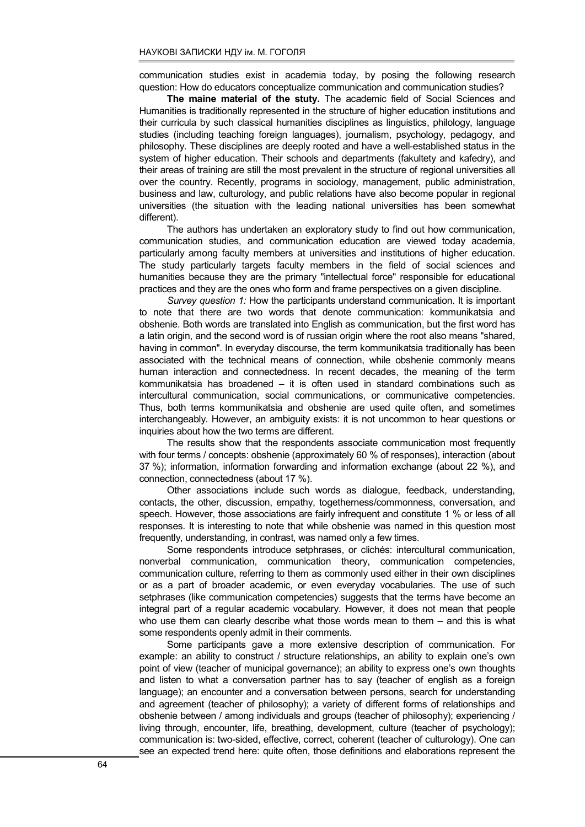communication studies exist in academia today, by posing the following research question: How do educators conceptualize communication and communication studies?

The maine material of the stuty. The academic field of Social Sciences and Humanities is traditionally represented in the structure of higher education institutions and their curricula by such classical humanities disciplines as linguistics, philology, language studies (including teaching foreign languages), journalism, psychology, pedagogy, and philosophy. These disciplines are deeply rooted and have a well-established status in the system of higher education. Their schools and departments (fakultety and kafedry), and their areas of training are still the most prevalent in the structure of regional universities all over the country. Recently, programs in sociology, management, public administration, business and law, culturology, and public relations have also become popular in regional universities (the situation with the leading national universities has been somewhat different).

The authors has undertaken an exploratory study to find out how communication, communication studies, and communication education are viewed today academia, particularly among faculty members at universities and institutions of higher education. The study particularly targets faculty members in the field of social sciences and humanities because they are the primary "intellectual force" responsible for educational practices and they are the ones who form and frame perspectives on a given discipline.

Survey question 1: How the participants understand communication. It is important to note that there are two words that denote communication: kommunikatsia and obshenie. Both words are translated into English as communication, but the first word has a latin origin, and the second word is of russian origin where the root also means "shared, having in common". In everyday discourse, the term kommunikatsia traditionally has been associated with the technical means of connection, while obshenie commonly means human interaction and connectedness. In recent decades, the meaning of the term kommunikatsia has broadened – it is often used in standard combinations such as intercultural communication, social communications, or communicative competencies. Thus, both terms kommunikatsia and obshenie are used quite often, and sometimes interchangeably. However, an ambiguity exists: it is not uncommon to hear questions or inquiries about how the two terms are different.

The results show that the respondents associate communication most frequently with four terms / concepts: obshenie (approximately 60 % of responses), interaction (about 37 %); information, information forwarding and information eхсhange (about 22 %), and connection, connectedness (about 17 %).

Other associations include such words as dialogue, feedback, understanding, contacts, the other, discussion, empathy, togetherness/commonness, conversation, and speech. However, those associations are fairly infrequent and constitute 1 % or less of all responses. It is interesting to note that while obshenie was named in this question most frequently, understanding, in contrast, was named only a few times.

Some respondents introduce setphrases, or clichés: intercultural communication, nonverbal communication, communication theory, communication competencies, communication culture, referring to them as commonly used either in their own disciplines or as a part of broader academic, or even everyday vocabularies. The use of such setphrases (like communication competencies) suggests that the terms have become an integral part of a regular academic vocabulary. However, it does not mean that people who use them can clearly describe what those words mean to them – and this is what some respondents openly admit in their comments.

Some participants gave a more extensive description of communication. For example: an ability to construct / structure relationships, an ability to explain one's own point of view (teacher of municipal governance); an ability to express one's own thoughts and listen to what a conversation partner has to say (teacher of english as a foreign language); an encounter and a conversation between persons, search for understanding and agreement (teacher of philosophy); a variety of different forms of relationships and obshenie between / among individuals and groups (teacher of philosophy); experiencing / living through, encounter, life, breathing, development, culture (teacher of psychology); communication is: two-sided, effective, correct, coherent (teacher of culturology). One can see an expected trend here: quite often, those definitions and elaborations represent the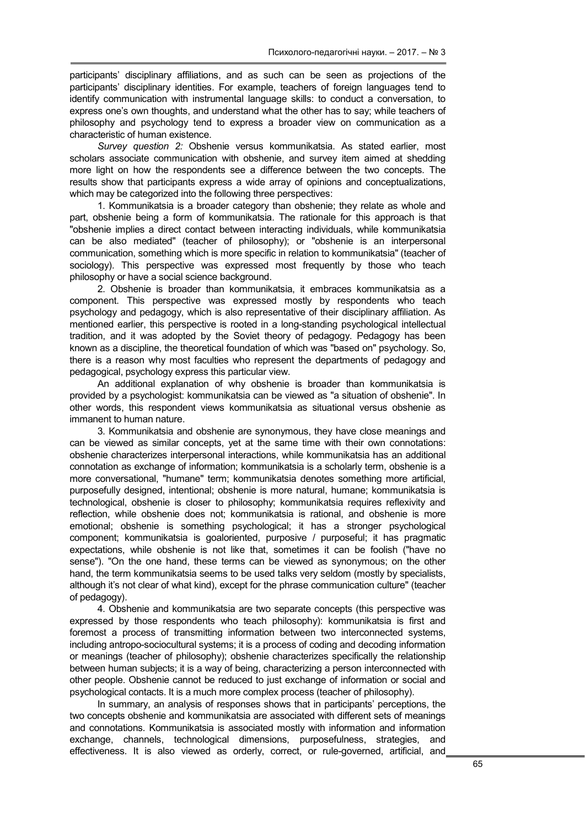participants' disciplinary affiliations, and as such can be seen as projections of the participants' disciplinary identities. For example, teachers of foreign languages tend to identify communication with instrumental language skills: to conduct a conversation, to express one's own thoughts, and understand what the other has to say; while teachers of philosophy and psychology tend to express a broader view on communication as a characteristic of human existence.

Survey question 2: Obshenie versus kommunikatsia. As stated earlier, most scholars associate communication with obshenie, and survey item aimed at shedding more light on how the respondents see a difference between the two concepts. The results show that participants express a wide array of opinions and conceptualizations, which may be categorized into the following three perspectives:

1. Kommunikatsia is a broader category than obshenie; they relate as whole and part, obshenie being a form of kommunikatsia. The rationale for this approach is that "obshenie implies a direct contact between interacting individuals, while kommunikatsia can be also mediated" (teacher of philosophy); or "obshenie is an interpersonal communication, something which is more specific in relation to kommunikatsia" (teacher of sociology). This perspective was expressed most frequently by those who teach philosophy or have a social science background.

2. Obshenie is broader than kommunikatsia, it embraces kommunikatsia as a component. This perspective was expressed mostly by respondents who teach psychology and pedagogy, which is also representative of their disciplinary affiliation. As mentioned earlier, this perspective is rooted in a long-standing psychological intellectual tradition, and it was adopted by the Soviet theory of pedagogy. Pedagogy has been known as a discipline, the theoretical foundation of which was "based on" psychology. So, there is a reason why most faculties who represent the departments of pedagogy and pedagogical, psychology express this particular view.

An additional explanation of why obshenie is broader than kommunikatsia is provided by a psychologist: kommunikatsia can be viewed as "a situation of obshenie". In other words, this respondent views kommunikatsia as situational versus obshenie as immanent to human nature.

3. Kommunikatsia and obshenie are synonymous, they have close meanings and can be viewed as similar concepts, yet at the same time with their own connotations: obshenie characterizes interpersonal interactions, while kommunikatsia has an additional connotation as exchange of information; kommunikatsia is a scholarly term, obshenie is a more conversational, "humane" term; kommunikatsia denotes something more artificial, purposefully designed, intentional; obshenie is more natural, humane; kommunikatsia is technological, obshenie is closer to philosophy; kommunikatsia requires reflexivity and reflection, while obshenie does not; kommunikatsia is rational, and obshenie is more emotional; obshenie is something psychological; it has a stronger psychological component; kommunikatsia is goaloriented, purposive / purposeful; it has pragmatic expectations, while obshenie is not like that, sometimes it can be foolish ("have no sense"). "On the one hand, these terms can be viewed as synonymous; on the other hand, the term kommunikatsia seems to be used talks very seldom (mostly by specialists, although it's not clear of what kind), eхcept for the phrase communication culture" (teacher of pedagogy).

4. Obshenie and kommunikatsia are two separate concepts (this perspective was expressed by those respondents who teach philosophy): kommunikatsia is first and foremost a process of transmitting information between two interconnected systems, including antropo-sociocultural systems; it is a process of coding and decoding information or meanings (teacher of philosophy); obshenie characterizes specifically the relationship between human subjects; it is a way of being, characterizing a person interconnected with other people. Obshenie cannot be reduced to just exchange of information or social and psychological contacts. It is a much more complex process (teacher of philosophy).

In summary, an analysis of responses shows that in participants' perceptions, the two concepts obshenie and kommunikatsia are associated with different sets of meanings and connotations. Kommunikatsia is associated mostly with information and information exchange, channels, technological dimensions, purposefulness, strategies, and effectiveness. It is also viewed as orderly, correct, or rule-governed, artificial, and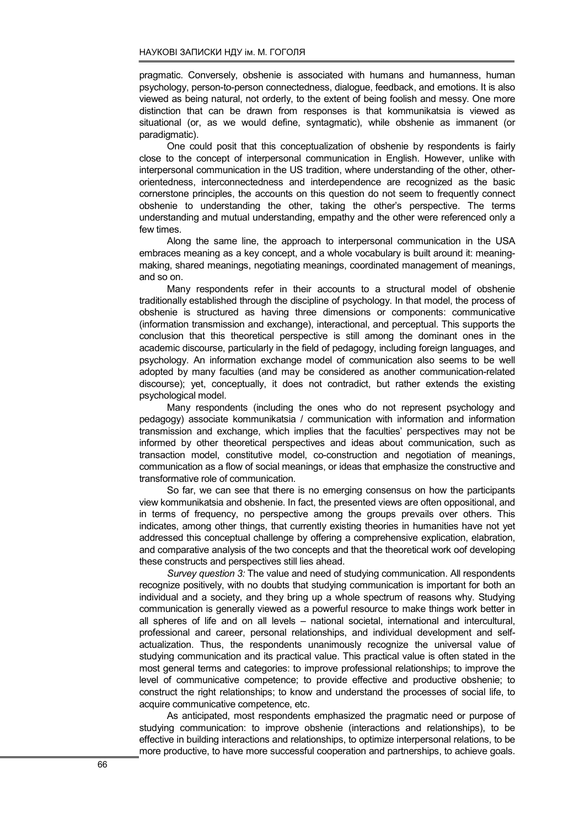pragmatic. Conversely, obshenie is associated with humans and humanness, human psychology, person-to-person connectedness, dialogue, feedback, and emotions. It is also viewed as being natural, not orderly, to the extent of being foolish and messy. One more distinction that can be drawn from responses is that kommunikatsia is viewed as situational (or, as we would define, syntagmatic), while obshenie as immanent (or paradigmatic).

One could posit that this conceptualization of obshenie by respondents is fairly close to the concept of interpersonal communication in English. However, unlike with interpersonal communication in the US tradition, where understanding of the other, otherorientedness, interconnectedness and interdependence are recognized as the basic cornerstone principles, the accounts on this question do not seem to frequently connect obshenie to understanding the other, taking the other's perspective. The terms understanding and mutual understanding, empathy and the other were referenced only a few times.

Along the same line, the approach to interpersonal communication in the USA embraces meaning as a key concept, and a whole vocabulary is built around it: meaningmaking, shared meanings, negotiating meanings, coordinated management of meanings, and so on.

Many respondents refer in their accounts to a structural model of obshenie traditionally established through the discipline of psychology. In that model, the process of obshenie is structured as having three dimensions or components: communicative (information transmission and exchange), interactional, and perceptual. This supports the conclusion that this theoretical perspective is still among the dominant ones in the academic discourse, particularly in the field of pedagogy, including foreign languages, and psychology. An information exchange model of communication also seems to be well adopted by many faculties (and may be considered as another communication-related discourse); yet, conceptually, it does not contradict, but rather extends the existing psychological model.

Many respondents (including the ones who do not represent psychology and pedagogy) associate kommunikatsia / communication with information and information transmission and exchange, which implies that the faculties' perspectives may not be informed by other theoretical perspectives and ideas about communication, such as transaction model, constitutive model, co-construction and negotiation of meanings, communication as a flow of social meanings, or ideas that emphasize the constructive and transformative role of communication.

So far, we can see that there is no emerging consensus on how the participants view kommunikatsia and obshenie. In fact, the presented views are often oppositional, and in terms of frequency, no perspective among the groups prevails over others. This indicates, among other things, that currently existing theories in humanities have not yet addressed this conceptual challenge by offering a comprehensive explication, elabration, and comparative analysis of the two concepts and that the theoretical work oof developing these constructs and perspectives still lies ahead.

Survey question 3: The value and need of studying communication. All respondents recognize positively, with no doubts that studying communication is important for both an individual and a society, and they bring up a whole spectrum of reasons why. Studying communication is generally viewed as a powerful resource to make things work better in all spheres of life and on all levels – national societal, international and intercultural, professional and career, personal relationships, and individual development and selfactualization. Thus, the respondents unanimously recognize the universal value of studying communication and its practical value. This practical value is often stated in the most general terms and categories: to improve professional relationships; to improve the level of communicative competence; to provide effective and productive obshenie; to construct the right relationships; to know and understand the processes of social life, to acquire communicative competence, etc.

As anticipated, most respondents emphasized the pragmatic need or purpose of studying communication: to improve obshenie (interactions and relationships), to be effective in building interactions and relationships, to optimize interpersonal relations, to be more productive, to have more successful cooperation and partnerships, to achieve goals.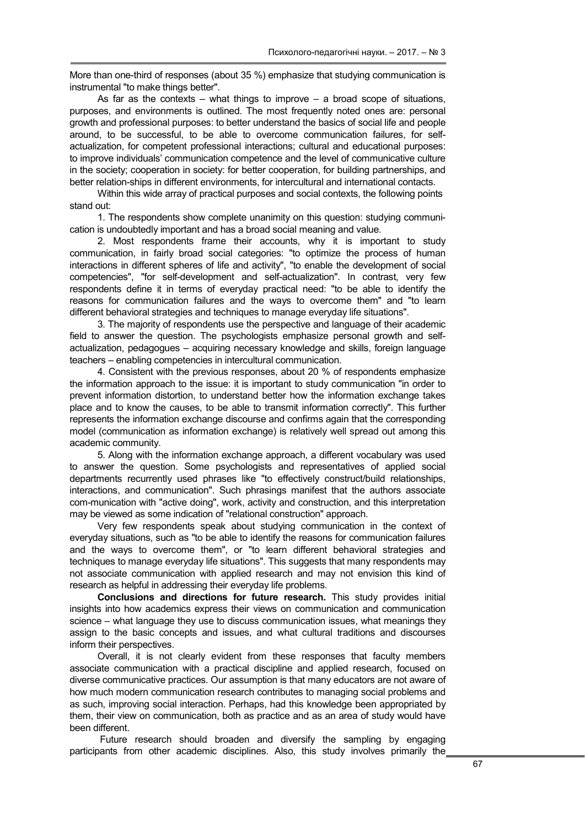More than one-third of responses (about 35 %) emphasize that studying communication is instrumental "to make things better".

As far as the contexts – what things to improve – a broad scope of situations, purposes, and environments is outlined. The most frequently noted ones are: personal growth and professional purposes: to better understand the basics of social life and people around, to be successful, to be able to overcome communication failures, for selfactualization, for competent professional interactions; cultural and educational purposes: to improve individuals' communication competence and the level of communicative culture in the society; cooperation in society: for better cooperation, for building partnerships, and better relation-ships in different environments, for intercultural and international contacts.

Within this wide array of practical purposes and social contexts, the following points stand out:

1. The respondents show complete unanimity on this question: studying communication is undoubtedly important and has a broad social meaning and value.

2. Most respondents frame their accounts, why it is important to study communication, in fairly broad social categories: "to optimize the process of human interactions in different spheres of life and activity", "to enable the development of social competencies", "for self-development and self-actualization". In contrast, very few respondents define it in terms of everyday practical need: "to be able to identify the reasons for communication failures and the ways to overcome them" and "to learn different behavioral strategies and techniques to manage everyday life situations".

3. The majority of respondents use the perspective and language of their academic field to answer the question. The psychologists emphasize personal growth and selfactualization, pedagogues – acquiring necessary knowledge and skills, foreign language teachers – enabling competencies in intercultural communication.

4. Consistent with the previous responses, about 20 % of respondents emphasize the information approach to the issue: it is important to study communication "in order to prevent information distortion, to understand better how the information exchange takes place and to know the causes, to be able to transmit information correctly". This further represents the information exchange discourse and confirms again that the corresponding model (communication as information exchange) is relatively well spread out among this academic community.

5. Along with the information exchange approach, a different vocabulary was used to answer the question. Some psychologists and representatives of applied social departments recurrently used phrases like "to effectively construct/build relationships, interactions, and communication". Such phrasings manifest that the authors associate com-munication with "active doing", work, activity and construction, and this interpretation may be viewed as some indication of "relational construction" approach.

Very few respondents speak about studying communication in the context of everyday situations, such as "to be able to identify the reasons for communication failures and the ways to overcome them", or "to learn different behavioral strategies and techniques to manage everyday life situations". This suggests that many respondents may not associate communication with applied research and may not envision this kind of research as helpful in addressing their everyday life problems.

Conclusions and directions for future research. This study provides initial insights into how academics express their views on communication and communication science – what language they use to discuss communication issues, what meanings they assign to the basic concepts and issues, and what cultural traditions and discourses inform their perspectives.

Overall, it is not clearly evident from these responses that faculty members associate communication with a practical discipline and applied research, focused on diverse communicative practices. Our assumption is that many educators are not aware of how much modern communication research contributes to managing social problems and as such, improving social interaction. Perhaps, had this knowledge been appropriated by them, their view on communication, both as practice and as an area of study would have been different.

Future research should broaden and diversify the sampling by engaging participants from other academic disciplines. Also, this study involves primarily the